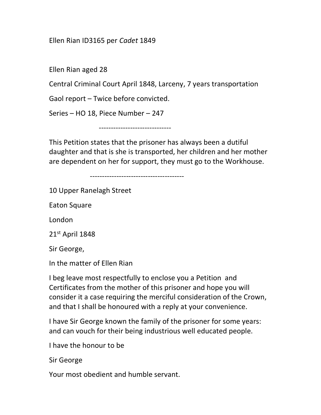## Ellen Rian ID3165 per Cadet 1849

Ellen Rian aged 28

Central Criminal Court April 1848, Larceny, 7 years transportation

Gaol report – Twice before convicted.

Series – HO 18, Piece Number – 247

------------------------------

This Petition states that the prisoner has always been a dutiful daughter and that is she is transported, her children and her mother are dependent on her for support, they must go to the Workhouse.

---------------------------------------

10 Upper Ranelagh Street

Eaton Square

London

21st April 1848

Sir George,

In the matter of Ellen Rian

I beg leave most respectfully to enclose you a Petition and Certificates from the mother of this prisoner and hope you will consider it a case requiring the merciful consideration of the Crown, and that I shall be honoured with a reply at your convenience.

I have Sir George known the family of the prisoner for some years: and can vouch for their being industrious well educated people.

I have the honour to be

Sir George

Your most obedient and humble servant.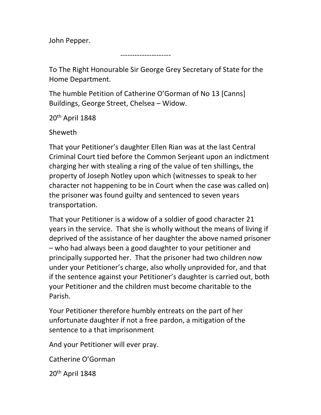John Pepper.

---------------------

To The Right Honourable Sir George Grey Secretary of State for the Home Department.

The humble Petition of Catherine O'Gorman of No 13 [Canns] Buildings, George Street, Chelsea – Widow.

20th April 1848

Sheweth

That your Petitioner's daughter Ellen Rian was at the last Central Criminal Court tied before the Common Serjeant upon an indictment charging her with stealing a ring of the value of ten shillings, the property of Joseph Notley upon which (witnesses to speak to her character not happening to be in Court when the case was called on) the prisoner was found guilty and sentenced to seven years transportation.

That your Petitioner is a widow of a soldier of good character 21 years in the service. That she is wholly without the means of living if deprived of the assistance of her daughter the above named prisoner – who had always been a good daughter to your petitioner and principally supported her. That the prisoner had two children now under your Petitioner's charge, also wholly unprovided for, and that if the sentence against your Petitioner's daughter is carried out, both your Petitioner and the children must become charitable to the Parish.

Your Petitioner therefore humbly entreats on the part of her unfortunate daughter if not a free pardon, a mitigation of the sentence to a that imprisonment

And your Petitioner will ever pray.

Catherine O'Gorman

20th April 1848